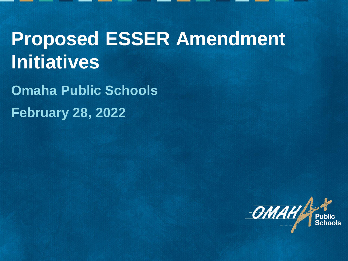# **Proposed ESSER Amendment Initiatives**

**Omaha Public Schools February 28, 2022**

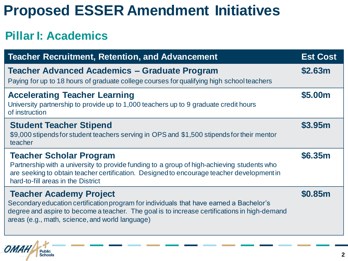## **Proposed ESSER Amendment Initiatives**

### **Pillar I: Academics**

| <b>Teacher Recruitment, Retention, and Advancement</b>                                                                                                                                                                                                                       | <b>Est Cost</b> |
|------------------------------------------------------------------------------------------------------------------------------------------------------------------------------------------------------------------------------------------------------------------------------|-----------------|
| <b>Teacher Advanced Academics - Graduate Program</b><br>Paying for up to 18 hours of graduate college courses for qualifying high school teachers                                                                                                                            | \$2.63m         |
| <b>Accelerating Teacher Learning</b><br>University partnership to provide up to 1,000 teachers up to 9 graduate credit hours<br>of instruction                                                                                                                               | \$5.00m         |
| <b>Student Teacher Stipend</b><br>\$9,000 stipends for student teachers serving in OPS and \$1,500 stipends for their mentor<br>teacher                                                                                                                                      | \$3.95m         |
| <b>Teacher Scholar Program</b><br>Partnership with a university to provide funding to a group of high-achieving students who<br>are seeking to obtain teacher certification. Designed to encourage teacher development in<br>hard-to-fill areas in the District              | \$6.35m         |
| <b>Teacher Academy Project</b><br>Secondary education certification program for individuals that have earned a Bachelor's<br>degree and aspire to become a teacher. The goal is to increase certifications in high-demand<br>areas (e.g., math, science, and world language) | \$0.85m         |
|                                                                                                                                                                                                                                                                              |                 |

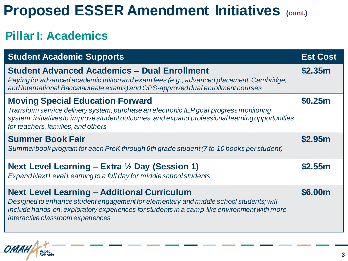## **Proposed ESSER Amendment Initiatives (cont.)**

### **Pillar I: Academics**

| <b>Student Academic Supports</b>                                                                                                                                                                                                                                                 | <b>Est Cost</b> |
|----------------------------------------------------------------------------------------------------------------------------------------------------------------------------------------------------------------------------------------------------------------------------------|-----------------|
| <b>Student Advanced Academics - Dual Enrollment</b><br>Paying for advanced academic tuition and exam fees (e.g., advanced placement, Cambridge,<br>and International Baccalaureate exams) and OPS-approved dual enrollment courses                                               | \$2.35m         |
| <b>Moving Special Education Forward</b><br>Transform service delivery system, purchase an electronic IEP goal progress monitoring<br>system, initiatives to improve student outcomes, and expand professional learning opportunities<br>for teachers, families, and others       | \$0.25m         |
| <b>Summer Book Fair</b><br>Summer book program for each PreK through 6th grade student (7 to 10 books per student)                                                                                                                                                               | <b>\$2.95m</b>  |
| Next Level Learning – Extra $\frac{1}{2}$ Day (Session 1)<br>Expand Next Level Learning to a full day for middle school students                                                                                                                                                 | \$2.55m         |
| <b>Next Level Learning - Additional Curriculum</b><br>Designed to enhance student engagement for elementary and middle school students; will<br>include hands-on, exploratory experiences for students in a camp-like environment with more<br>interactive classroom experiences | <b>\$6.00m</b>  |
|                                                                                                                                                                                                                                                                                  |                 |